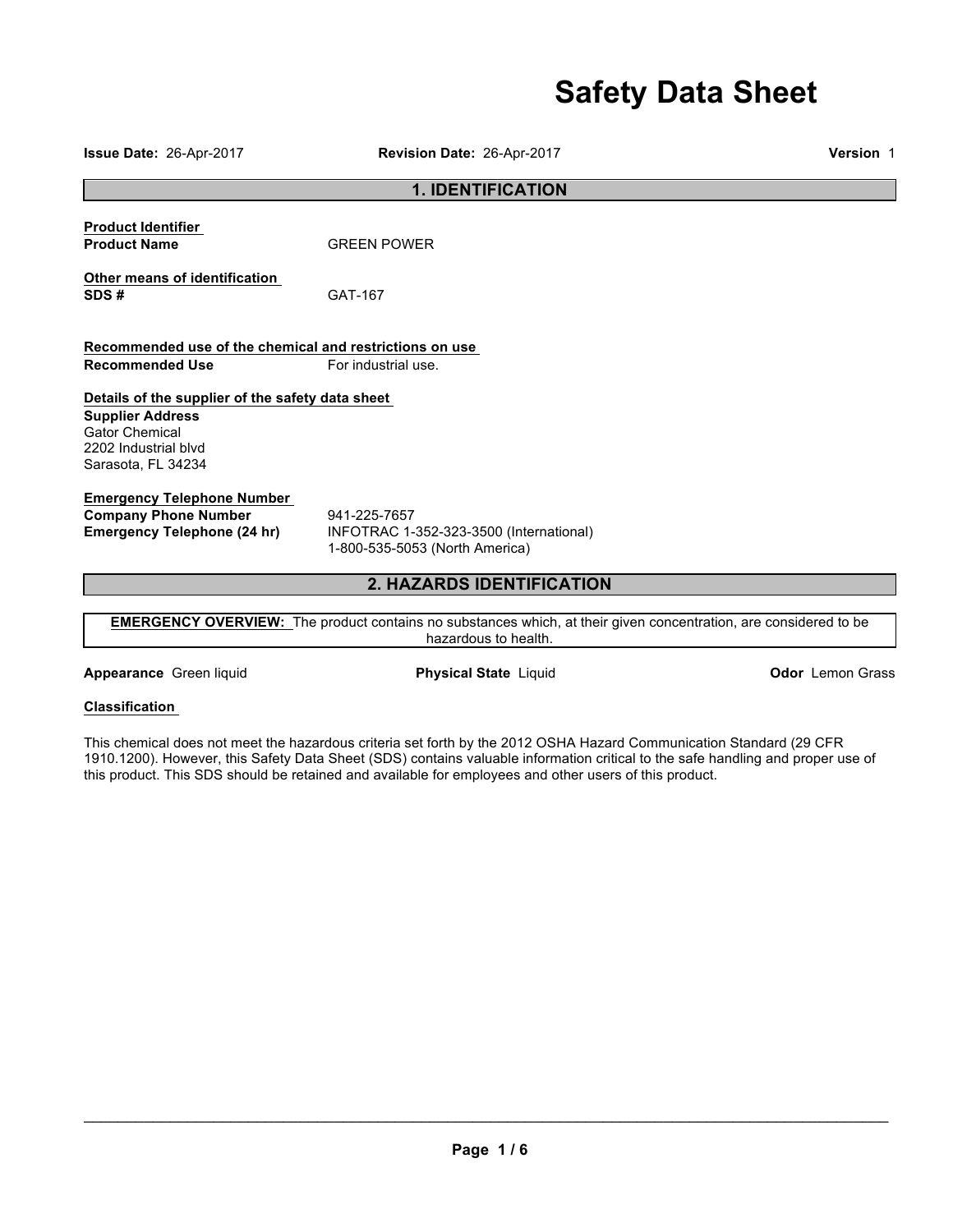# **Safety Data Sheet**

**1. IDENTIFICATION Product Identifier Product Name** GREEN POWER **Other means of identification SDS #** GAT-167 **Recommended use of the chemical and restrictions on use Recommended Use For industrial use. Details of the supplier of the safety data sheet Supplier Address** Gator Chemical 2202 Industrial blvd Sarasota, FL 34234 **Emergency Telephone Number Company Phone Number** 941-225-7657<br>**Emergency Telephone (24 hr)** INFOTRAC 1-**Emergency Telephone (24 hr)** INFOTRAC 1-352-323-3500 (International) 1-800-535-5053 (North America)

# **2. HAZARDS IDENTIFICATION**

**EMERGENCY OVERVIEW:** The product contains no substances which, at their given concentration, are considered to be hazardous to health.

**Appearance** Green liquid **Physical State** Liquid **Odor** Lemon Grass

### **Classification**

This chemical does not meet the hazardous criteria set forth by the 2012 OSHA Hazard Communication Standard (29 CFR 1910.1200). However, this Safety Data Sheet (SDS) contains valuable information critical to the safe handling and proper use of this product. This SDS should be retained and available for employees and other users of this product.

 $\_$  , and the contribution of the contribution of the contribution of the contribution of the contribution of  $\mathcal{L}_\mathrm{max}$ 

**Issue Date:** 26-Apr-2017 **Revision Date:** 26-Apr-2017 **Version** 1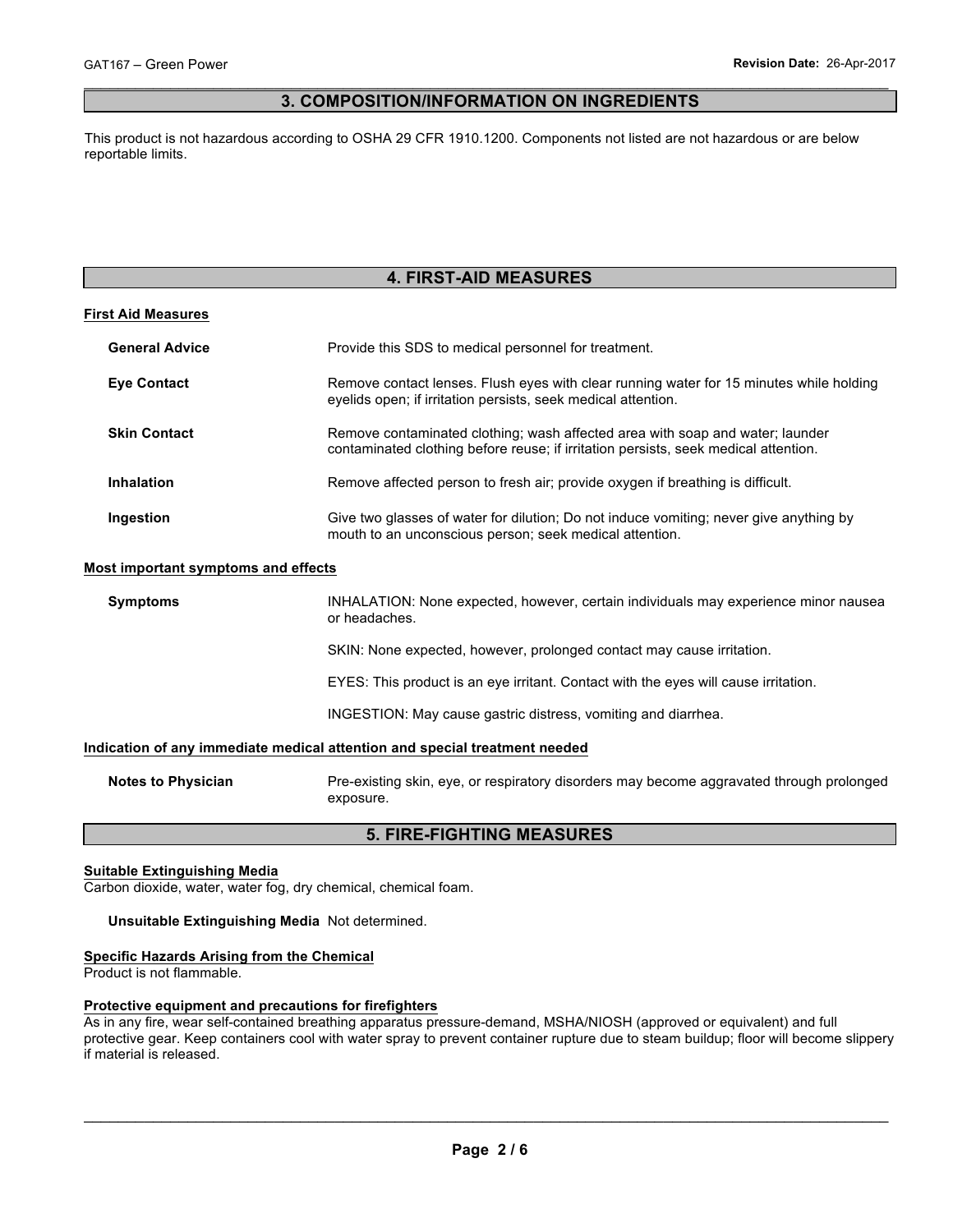### $\_$  , and the contribution of the contribution of the contribution of the contribution of the contribution of  $\mathcal{L}_\mathrm{max}$ **3. COMPOSITION/INFORMATION ON INGREDIENTS**

This product is not hazardous according to OSHA 29 CFR 1910.1200. Components not listed are not hazardous or are below reportable limits.

# **4. FIRST-AID MEASURES**

### **First Aid Measures**

| <b>General Advice</b> | Provide this SDS to medical personnel for treatment.                                                                                                                 |
|-----------------------|----------------------------------------------------------------------------------------------------------------------------------------------------------------------|
| <b>Eve Contact</b>    | Remove contact lenses. Flush eyes with clear running water for 15 minutes while holding<br>eyelids open; if irritation persists, seek medical attention.             |
| <b>Skin Contact</b>   | Remove contaminated clothing; wash affected area with soap and water; launder<br>contaminated clothing before reuse; if irritation persists, seek medical attention. |
| <b>Inhalation</b>     | Remove affected person to fresh air; provide oxygen if breathing is difficult.                                                                                       |
| Ingestion             | Give two glasses of water for dilution; Do not induce vomiting; never give anything by<br>mouth to an unconscious person; seek medical attention.                    |

### **Most important symptoms and effects**

| <b>Symptoms</b>           | INHALATION: None expected, however, certain individuals may experience minor nausea<br>or headaches. |
|---------------------------|------------------------------------------------------------------------------------------------------|
|                           | SKIN: None expected, however, prolonged contact may cause irritation.                                |
|                           | EYES: This product is an eye irritant. Contact with the eyes will cause irritation.                  |
|                           | INGESTION: May cause gastric distress, vomiting and diarrhea.                                        |
|                           | Indication of any immediate medical attention and special treatment needed                           |
| <b>Notes to Physician</b> | Pre-existing skin, eye, or respiratory disorders may become aggravated through prolonged             |

### **5. FIRE-FIGHTING MEASURES**

### **Suitable Extinguishing Media**

Carbon dioxide, water, water fog, dry chemical, chemical foam.

exposure.

### **Unsuitable Extinguishing Media** Not determined.

### **Specific Hazards Arising from the Chemical**

Product is not flammable.

### **Protective equipment and precautions for firefighters**

As in any fire, wear self-contained breathing apparatus pressure-demand, MSHA/NIOSH (approved or equivalent) and full protective gear. Keep containers cool with water spray to prevent container rupture due to steam buildup; floor will become slippery if material is released.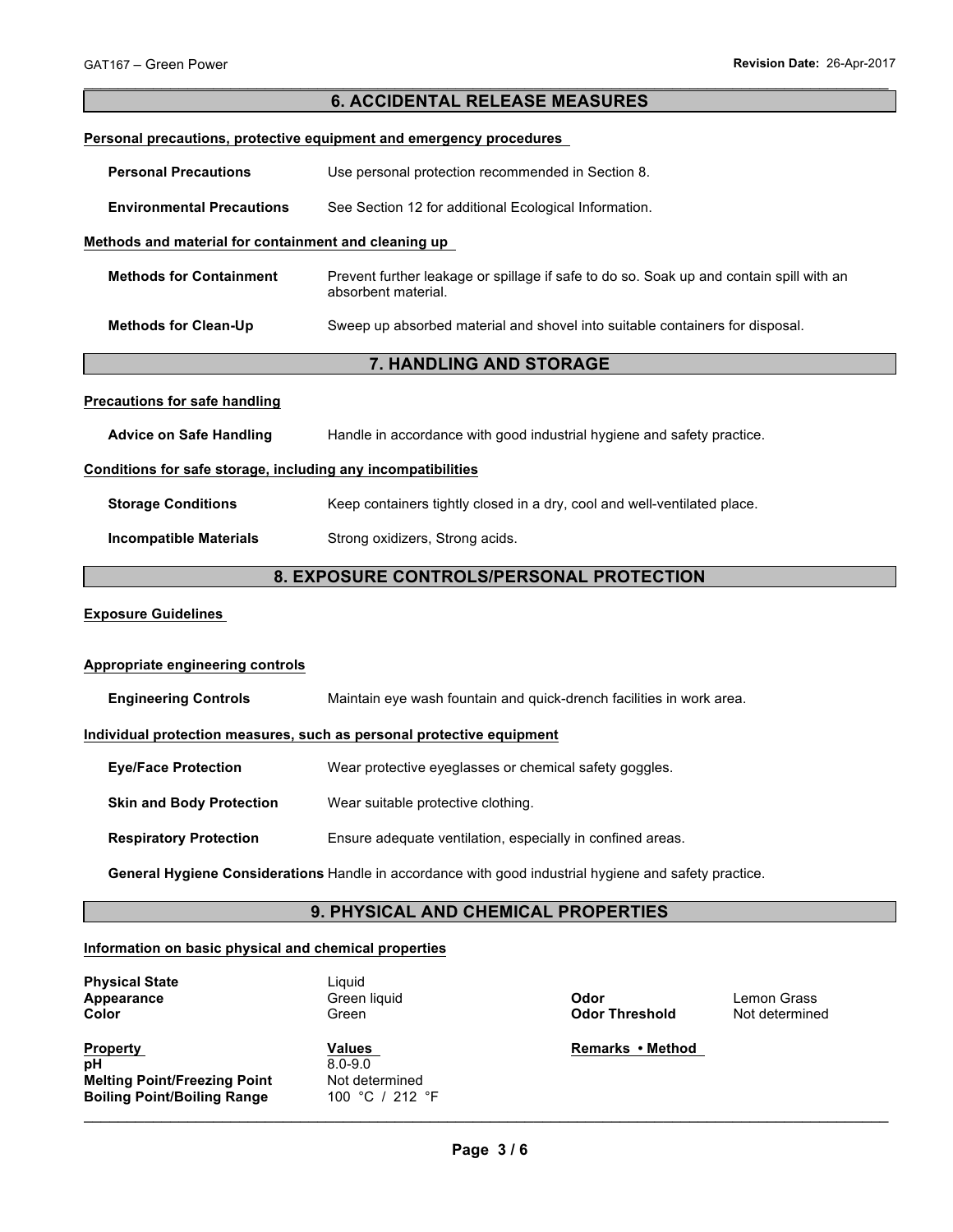|                                                                       | <b>6. ACCIDENTAL RELEASE MEASURES</b>                                                                          |  |  |
|-----------------------------------------------------------------------|----------------------------------------------------------------------------------------------------------------|--|--|
|                                                                       | Personal precautions, protective equipment and emergency procedures                                            |  |  |
| <b>Personal Precautions</b>                                           | Use personal protection recommended in Section 8.                                                              |  |  |
|                                                                       |                                                                                                                |  |  |
| <b>Environmental Precautions</b>                                      | See Section 12 for additional Ecological Information.                                                          |  |  |
| Methods and material for containment and cleaning up                  |                                                                                                                |  |  |
| <b>Methods for Containment</b>                                        | Prevent further leakage or spillage if safe to do so. Soak up and contain spill with an<br>absorbent material. |  |  |
| <b>Methods for Clean-Up</b>                                           | Sweep up absorbed material and shovel into suitable containers for disposal.                                   |  |  |
|                                                                       | 7. HANDLING AND STORAGE                                                                                        |  |  |
| <b>Precautions for safe handling</b>                                  |                                                                                                                |  |  |
| <b>Advice on Safe Handling</b>                                        | Handle in accordance with good industrial hygiene and safety practice.                                         |  |  |
| Conditions for safe storage, including any incompatibilities          |                                                                                                                |  |  |
| <b>Storage Conditions</b>                                             | Keep containers tightly closed in a dry, cool and well-ventilated place.                                       |  |  |
| <b>Incompatible Materials</b>                                         | Strong oxidizers, Strong acids.                                                                                |  |  |
|                                                                       | 8. EXPOSURE CONTROLS/PERSONAL PROTECTION                                                                       |  |  |
| <b>Exposure Guidelines</b>                                            |                                                                                                                |  |  |
| <b>Appropriate engineering controls</b>                               |                                                                                                                |  |  |
| <b>Engineering Controls</b>                                           | Maintain eye wash fountain and quick-drench facilities in work area.                                           |  |  |
| Individual protection measures, such as personal protective equipment |                                                                                                                |  |  |
| <b>Eye/Face Protection</b>                                            | Wear protective eyeglasses or chemical safety goggles.                                                         |  |  |
| <b>Skin and Body Protection</b>                                       | Wear suitable protective clothing.                                                                             |  |  |
| <b>Respiratory Protection</b>                                         | Ensure adequate ventilation, especially in confined areas.                                                     |  |  |
|                                                                       | General Hygiene Considerations Handle in accordance with good industrial hygiene and safety practice.          |  |  |
| 9. PHYSICAL AND CHEMICAL PROPERTIES                                   |                                                                                                                |  |  |
| Information on basic physical and chemical properties                 |                                                                                                                |  |  |

| Appearance<br>Color                                          | Green liquid<br>Green                   | Odor<br><b>Odor Threshold</b> | Lemon Grass<br>Not determined |
|--------------------------------------------------------------|-----------------------------------------|-------------------------------|-------------------------------|
| <b>Property</b><br>pH<br><b>Melting Point/Freezing Point</b> | Values<br>$8.0 - 9.0$<br>Not determined | Remarks • Method              |                               |
| <b>Boiling Point/Boiling Range</b>                           | 100 °C / 212 °F                         |                               |                               |

**Physical State** Liquid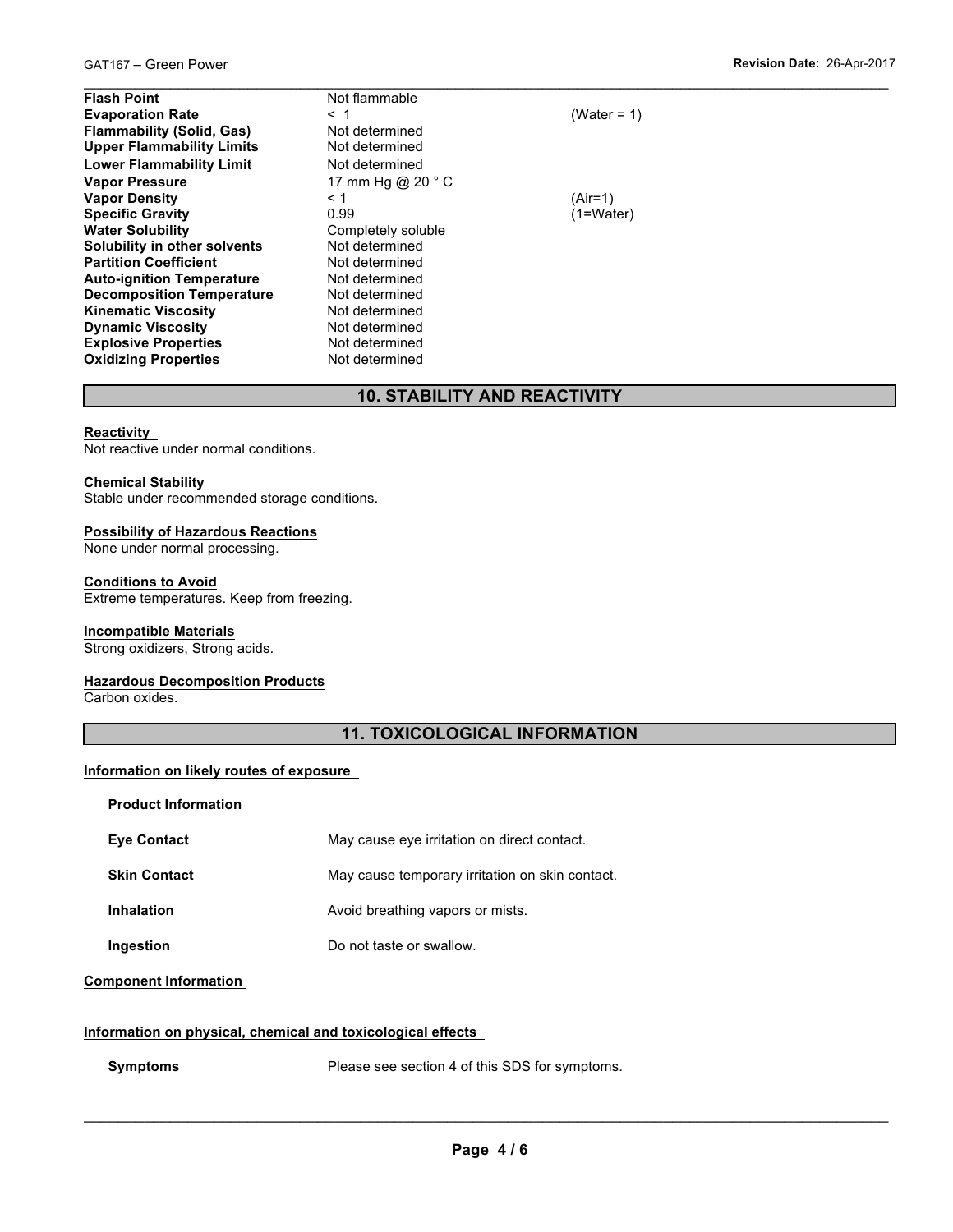$\_$  , and the contribution of the contribution of the contribution of the contribution of the contribution of  $\mathcal{L}_\mathrm{max}$ **Flash Point Not flammable Evaporation Rate** < 1 (Water = 1) **Flammability (Solid, Gas)** Not determined<br>
Upper Flammability Limits Not determined **Upper Flammability Limits Lower Flammability Limit** Not determined **Vapor Pressure 17 mm Hg @ 20 ° C Vapor Density**  $\leftarrow$  1  $\leftarrow$  1 (Air=1)<br> **Specific Gravity** 0.99 (1=Water) **Specific Gravity**<br>Water Solubility **Solubility in other solvents** Not determined **Partition Coefficient Not determined Auto-ignition Temperature** Not determined **Decomposition Temperature** Not determined **Kinematic Viscosity**<br> **Consulty Not determined**<br> **Not determined Dynamic Viscosity**<br> **Explosive Properties**<br>
Not determined **Explosive Properties Not determined**<br> **Oxidizing Properties Not determined Oxidizing Properties** 

Completely soluble

# **10. STABILITY AND REACTIVITY**

### **Reactivity**

Not reactive under normal conditions.

### **Chemical Stability**

Stable under recommended storage conditions.

### **Possibility of Hazardous Reactions**

None under normal processing.

### **Conditions to Avoid**

Extreme temperatures. Keep from freezing.

### **Incompatible Materials**

Strong oxidizers, Strong acids.

### **Hazardous Decomposition Products**

Carbon oxides.

# **11. TOXICOLOGICAL INFORMATION**

### **Information on likely routes of exposure**

| <b>Product Information</b> |                                                 |
|----------------------------|-------------------------------------------------|
| <b>Eve Contact</b>         | May cause eye irritation on direct contact.     |
| <b>Skin Contact</b>        | May cause temporary irritation on skin contact. |
| <b>Inhalation</b>          | Avoid breathing vapors or mists.                |
| Ingestion                  | Do not taste or swallow.                        |

### **Component Information**

### **Information on physical, chemical and toxicological effects**

**Symptoms** Please see section 4 of this SDS for symptoms.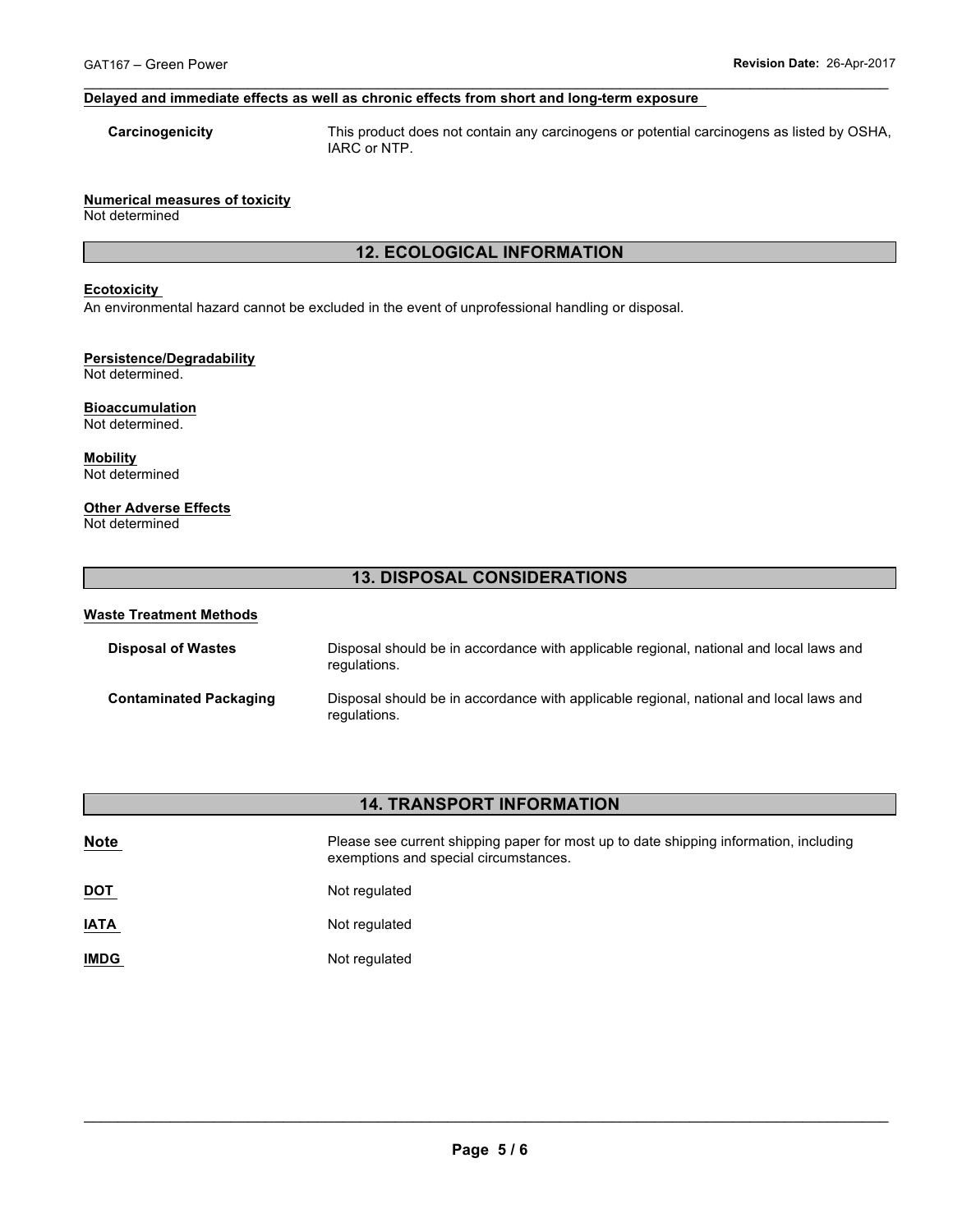### **Delayed and immediate effects as well as chronic effects from short and long-term exposure**

**Carcinogenicity** This product does not contain any carcinogens or potential carcinogens as listed by OSHA, IARC or NTP.

### **Numerical measures of toxicity**

Not determined

# **12. ECOLOGICAL INFORMATION**

 $\_$  , and the contribution of the contribution of the contribution of the contribution of the contribution of  $\mathcal{L}_\mathrm{max}$ 

### **Ecotoxicity**

An environmental hazard cannot be excluded in the event of unprofessional handling or disposal.

### **Persistence/Degradability**

Not determined.

### **Bioaccumulation** Not determined.

**Mobility** Not determined

# **Other Adverse Effects**

Not determined

# **13. DISPOSAL CONSIDERATIONS**

### **Waste Treatment Methods**

| <b>Disposal of Wastes</b>     | Disposal should be in accordance with applicable regional, national and local laws and<br>regulations. |
|-------------------------------|--------------------------------------------------------------------------------------------------------|
| <b>Contaminated Packaging</b> | Disposal should be in accordance with applicable regional, national and local laws and<br>regulations. |

# **14. TRANSPORT INFORMATION**

| <b>Note</b> | Please see current shipping paper for most up to date shipping information, including<br>exemptions and special circumstances. |
|-------------|--------------------------------------------------------------------------------------------------------------------------------|
| <b>DOT</b>  | Not regulated                                                                                                                  |
| <b>IATA</b> | Not regulated                                                                                                                  |
| <b>IMDG</b> | Not regulated                                                                                                                  |